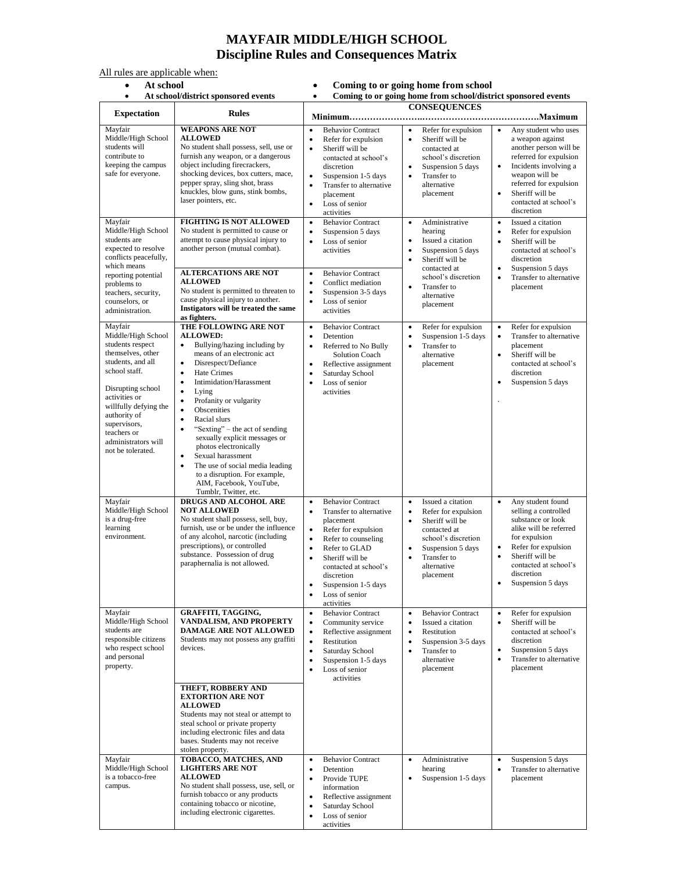## **MAYFAIR MIDDLE/HIGH SCHOOL Discipline Rules and Consequences Matrix**

All rules are applicable when:<br>
• At school<br>
• At school/district sp

- **At school Coming to or going home from school**
	-

| At school/district sponsored events<br>$\bullet$                                                                                                                                                                                                                                                           |                                                                                                                                                                                                                                                                                                                                                                                                                                                                                                                                                                                                                                           | Coming to or going home from school/district sponsored events<br>$\bullet$                                                                                                                                                                                                                                                                                                                                                                                                                                                            |                                                                                                                                                                                                                                                                                                                                                                                                                                                |                                                                                                                                                                                                                                                                                                                                                                                                                                                                                                        |
|------------------------------------------------------------------------------------------------------------------------------------------------------------------------------------------------------------------------------------------------------------------------------------------------------------|-------------------------------------------------------------------------------------------------------------------------------------------------------------------------------------------------------------------------------------------------------------------------------------------------------------------------------------------------------------------------------------------------------------------------------------------------------------------------------------------------------------------------------------------------------------------------------------------------------------------------------------------|---------------------------------------------------------------------------------------------------------------------------------------------------------------------------------------------------------------------------------------------------------------------------------------------------------------------------------------------------------------------------------------------------------------------------------------------------------------------------------------------------------------------------------------|------------------------------------------------------------------------------------------------------------------------------------------------------------------------------------------------------------------------------------------------------------------------------------------------------------------------------------------------------------------------------------------------------------------------------------------------|--------------------------------------------------------------------------------------------------------------------------------------------------------------------------------------------------------------------------------------------------------------------------------------------------------------------------------------------------------------------------------------------------------------------------------------------------------------------------------------------------------|
| <b>Expectation</b>                                                                                                                                                                                                                                                                                         | <b>Rules</b>                                                                                                                                                                                                                                                                                                                                                                                                                                                                                                                                                                                                                              |                                                                                                                                                                                                                                                                                                                                                                                                                                                                                                                                       | <b>CONSEQUENCES</b>                                                                                                                                                                                                                                                                                                                                                                                                                            |                                                                                                                                                                                                                                                                                                                                                                                                                                                                                                        |
| Mayfair<br>Middle/High School<br>students will<br>contribute to<br>keeping the campus<br>safe for everyone.<br>Mayfair<br>Middle/High School<br>students are<br>expected to resolve<br>conflicts peacefully,<br>which means<br>reporting potential<br>problems to<br>teachers, security,<br>counselors, or | <b>WEAPONS ARE NOT</b><br><b>ALLOWED</b><br>No student shall possess, sell, use or<br>furnish any weapon, or a dangerous<br>object including firecrackers,<br>shocking devices, box cutters, mace,<br>pepper spray, sling shot, brass<br>knuckles, blow guns, stink bombs,<br>laser pointers, etc.<br><b>FIGHTING IS NOT ALLOWED</b><br>No student is permitted to cause or<br>attempt to cause physical injury to<br>another person (mutual combat).<br><b>ALTERCATIONS ARE NOT</b><br><b>ALLOWED</b><br>No student is permitted to threaten to<br>cause physical injury to another.<br>Instigators will be treated the same             | $\bullet$<br><b>Behavior Contract</b><br>Refer for expulsion<br>$\bullet$<br>Sheriff will be<br>$\bullet$<br>contacted at school's<br>discretion<br>$\bullet$<br>Suspension 1-5 days<br>Transfer to alternative<br>٠<br>placement<br>Loss of senior<br>٠<br>activities<br><b>Behavior Contract</b><br>$\bullet$<br>Suspension 5 days<br>$\bullet$<br>Loss of senior<br>$\bullet$<br>activities<br><b>Behavior Contract</b><br>$\bullet$<br>Conflict mediation<br>٠<br>Suspension 3-5 days<br>$\bullet$<br>Loss of senior<br>$\bullet$ | Refer for expulsion<br>$\bullet$<br>Sheriff will be<br>$\bullet$<br>contacted at<br>school's discretion<br>Suspension 5 days<br>$\bullet$<br>Transfer to<br>$\bullet$<br>alternative<br>placement<br>Administrative<br>$\bullet$<br>hearing<br>$\bullet$<br>Issued a citation<br>Suspension 5 days<br>$\bullet$<br>$\bullet$<br>Sheriff will be<br>contacted at<br>school's discretion<br>Transfer to<br>$\bullet$<br>alternative<br>placement | $\bullet$<br>Any student who uses<br>a weapon against<br>another person will be<br>referred for expulsion<br>Incidents involving a<br>$\bullet$<br>weapon will be<br>referred for expulsion<br>Sheriff will be<br>$\bullet$<br>contacted at school's<br>discretion<br>$\bullet$<br>Issued a citation<br>Refer for expulsion<br>$\bullet$<br>$\bullet$<br>Sheriff will be<br>contacted at school's<br>discretion<br>Suspension 5 days<br>$\bullet$<br>Transfer to alternative<br>$\bullet$<br>placement |
| administration.<br>Mayfair<br>Middle/High School<br>students respect<br>themselves, other<br>students, and all<br>school staff.<br>Disrupting school<br>activities or<br>willfully defying the<br>authority of<br>supervisors,<br>teachers or<br>administrators will<br>not be tolerated.                  | as fighters.<br>THE FOLLOWING ARE NOT<br><b>ALLOWED:</b><br>Bullying/hazing including by<br>$\bullet$<br>means of an electronic act<br>Disrespect/Defiance<br>$\bullet$<br>Hate Crimes<br>$\bullet$<br>Intimidation/Harassment<br>$\bullet$<br>$\bullet$<br>Lying<br>$\bullet$<br>Profanity or vulgarity<br>Obscenities<br>$\bullet$<br>Racial slurs<br>$\bullet$<br>"Sexting" – the act of sending<br>$\bullet$<br>sexually explicit messages or<br>photos electronically<br>Sexual harassment<br>٠<br>The use of social media leading<br>$\bullet$<br>to a disruption. For example,<br>AIM, Facebook, YouTube,<br>Tumblr, Twitter, etc. | activities<br><b>Behavior Contract</b><br>$\bullet$<br>Detention<br>$\bullet$<br>Referred to No Bully<br>$\bullet$<br><b>Solution Coach</b><br>Reflective assignment<br>٠<br>Saturday School<br>$\bullet$<br>Loss of senior<br>$\bullet$<br>activities                                                                                                                                                                                                                                                                                | Refer for expulsion<br>$\bullet$<br>Suspension 1-5 days<br>$\bullet$<br>Transfer to<br>$\bullet$<br>alternative<br>placement                                                                                                                                                                                                                                                                                                                   | Refer for expulsion<br>$\bullet$<br>Transfer to alternative<br>placement<br>$\bullet$<br>Sheriff will be<br>contacted at school's<br>discretion<br>Suspension 5 days<br>$\bullet$                                                                                                                                                                                                                                                                                                                      |
| Mayfair<br>Middle/High School<br>is a drug-free<br>learning<br>environment.                                                                                                                                                                                                                                | DRUGS AND ALCOHOL ARE<br><b>NOT ALLOWED</b><br>No student shall possess, sell, buy,<br>furnish, use or be under the influence<br>of any alcohol, narcotic (including<br>prescriptions), or controlled<br>substance. Possession of drug<br>paraphernalia is not allowed.                                                                                                                                                                                                                                                                                                                                                                   | <b>Behavior Contract</b><br>٠<br>Transfer to alternative<br>$\bullet$<br>placement<br>Refer for expulsion<br>٠<br>$\bullet$<br>Refer to counseling<br>Refer to GLAD<br>٠<br>Sheriff will be<br>$\bullet$<br>contacted at school's<br>discretion<br>Suspension 1-5 days<br>Loss of senior<br>٠<br>activities                                                                                                                                                                                                                           | Issued a citation<br>$\bullet$<br>Refer for expulsion<br>$\bullet$<br>Sheriff will be<br>$\bullet$<br>contacted at<br>school's discretion<br>Suspension 5 days<br>$\bullet$<br>Transfer to<br>$\bullet$<br>alternative<br>placement                                                                                                                                                                                                            | $\bullet$<br>Any student found<br>selling a controlled<br>substance or look<br>alike will be referred<br>for expulsion<br>Refer for expulsion<br>$\bullet$<br>Sheriff will be<br>$\bullet$<br>contacted at school's<br>discretion<br>Suspension 5 days<br>$\bullet$                                                                                                                                                                                                                                    |
| Mayfair<br>Middle/High School<br>students are<br>responsible citizens<br>who respect school<br>and personal<br>property.                                                                                                                                                                                   | GRAFFITI, TAGGING,<br>VANDALISM, AND PROPERTY<br><b>DAMAGE ARE NOT ALLOWED</b><br>Students may not possess any graffiti<br>devices.<br>THEFT, ROBBERY AND<br><b>EXTORTION ARE NOT</b><br><b>ALLOWED</b><br>Students may not steal or attempt to<br>steal school or private property<br>including electronic files and data<br>bases. Students may not receive<br>stolen property.                                                                                                                                                                                                                                                         | <b>Behavior Contract</b><br>$\bullet$<br>Community service<br>٠<br>$\bullet$<br>Reflective assignment<br>Restitution<br>$\bullet$<br>Saturday School<br>٠<br>Suspension 1-5 days<br>٠<br>Loss of senior<br>$\bullet$<br>activities                                                                                                                                                                                                                                                                                                    | <b>Behavior Contract</b><br>$\bullet$<br>Issued a citation<br>$\bullet$<br>$\bullet$<br>Restitution<br>Suspension 3-5 days<br>$\bullet$<br>$\bullet$<br>Transfer to<br>alternative<br>placement                                                                                                                                                                                                                                                | Refer for expulsion<br>$\bullet$<br>$\bullet$<br>Sheriff will be<br>contacted at school's<br>discretion<br>$\bullet$<br>Suspension 5 days<br>$\bullet$<br>Transfer to alternative<br>placement                                                                                                                                                                                                                                                                                                         |
| Mayfair<br>Middle/High School<br>is a tobacco-free<br>campus.                                                                                                                                                                                                                                              | TOBACCO, MATCHES, AND<br><b>LIGHTERS ARE NOT</b><br><b>ALLOWED</b><br>No student shall possess, use, sell, or<br>furnish tobacco or any products<br>containing tobacco or nicotine,<br>including electronic cigarettes.                                                                                                                                                                                                                                                                                                                                                                                                                   | <b>Behavior Contract</b><br>٠<br>Detention<br>٠<br>Provide TUPE<br>information<br>$\bullet$<br>Reflective assignment<br>Saturday School<br>Loss of senior<br>٠<br>activities                                                                                                                                                                                                                                                                                                                                                          | Administrative<br>$\bullet$<br>hearing<br>Suspension 1-5 days<br>$\bullet$                                                                                                                                                                                                                                                                                                                                                                     | Suspension 5 days<br>$\bullet$<br>Transfer to alternative<br>$\bullet$<br>placement                                                                                                                                                                                                                                                                                                                                                                                                                    |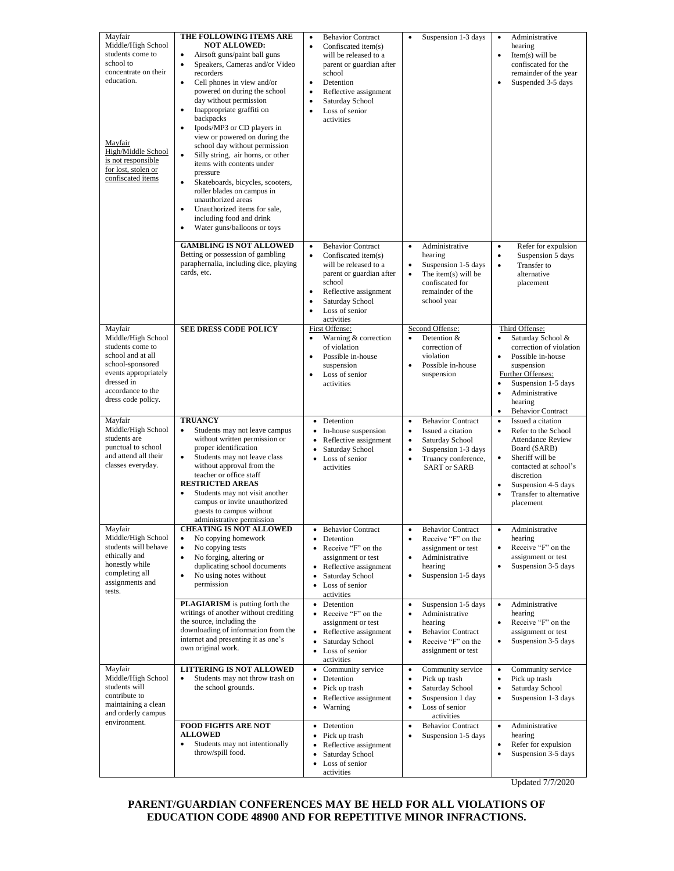| Mayfair<br>Middle/High School<br>students come to<br>school to<br>concentrate on their<br>education.<br>Mayfair<br>High/Middle School<br>is not responsible<br>for lost, stolen or<br>confiscated items | THE FOLLOWING ITEMS ARE<br><b>NOT ALLOWED:</b><br>$\bullet$<br>Airsoft guns/paint ball guns<br>Speakers, Cameras and/or Video<br>$\bullet$<br>recorders<br>Cell phones in view and/or<br>$\bullet$<br>powered on during the school<br>day without permission<br>Inappropriate graffiti on<br>$\bullet$<br>backpacks<br>Ipods/MP3 or CD players in<br>$\bullet$<br>view or powered on during the<br>school day without permission<br>$\bullet$<br>Silly string, air horns, or other<br>items with contents under<br>pressure<br>$\bullet$<br>Skateboards, bicycles, scooters,<br>roller blades on campus in<br>unauthorized areas<br>Unauthorized items for sale,<br>$\bullet$<br>including food and drink<br>Water guns/balloons or toys<br>$\bullet$ | <b>Behavior Contract</b><br>$\bullet$<br>Confiscated item(s)<br>$\bullet$<br>will be released to a<br>parent or guardian after<br>school<br>Detention<br>$\bullet$<br>Reflective assignment<br>$\bullet$<br>Saturday School<br>$\bullet$<br>Loss of senior<br>$\bullet$<br>activities | Suspension 1-3 days<br>$\bullet$                                                                                                                                                                              | Administrative<br>$\bullet$<br>hearing<br>Item $(s)$ will be<br>$\bullet$<br>confiscated for the<br>remainder of the year<br>Suspended 3-5 days<br>٠                                                                                                            |
|---------------------------------------------------------------------------------------------------------------------------------------------------------------------------------------------------------|-------------------------------------------------------------------------------------------------------------------------------------------------------------------------------------------------------------------------------------------------------------------------------------------------------------------------------------------------------------------------------------------------------------------------------------------------------------------------------------------------------------------------------------------------------------------------------------------------------------------------------------------------------------------------------------------------------------------------------------------------------|---------------------------------------------------------------------------------------------------------------------------------------------------------------------------------------------------------------------------------------------------------------------------------------|---------------------------------------------------------------------------------------------------------------------------------------------------------------------------------------------------------------|-----------------------------------------------------------------------------------------------------------------------------------------------------------------------------------------------------------------------------------------------------------------|
|                                                                                                                                                                                                         | <b>GAMBLING IS NOT ALLOWED</b><br>Betting or possession of gambling<br>paraphernalia, including dice, playing<br>cards, etc.                                                                                                                                                                                                                                                                                                                                                                                                                                                                                                                                                                                                                          | $\bullet$<br><b>Behavior Contract</b><br>Confiscated item(s)<br>$\bullet$<br>will be released to a<br>parent or guardian after<br>school<br>Reflective assignment<br>$\bullet$<br>Saturday School<br>$\bullet$<br>Loss of senior<br>$\bullet$<br>activities                           | Administrative<br>$\bullet$<br>hearing<br>Suspension 1-5 days<br>$\bullet$<br>$\bullet$<br>The item(s) will be<br>confiscated for<br>remainder of the<br>school year                                          | Refer for expulsion<br>$\bullet$<br>Suspension 5 days<br>$\bullet$<br>Transfer to<br>$\bullet$<br>alternative<br>placement                                                                                                                                      |
| Mayfair<br>Middle/High School<br>students come to<br>school and at all<br>school-sponsored<br>events appropriately<br>dressed in<br>accordance to the<br>dress code policy.                             | <b>SEE DRESS CODE POLICY</b>                                                                                                                                                                                                                                                                                                                                                                                                                                                                                                                                                                                                                                                                                                                          | First Offense:<br>Warning & correction<br>$\bullet$<br>of violation<br>Possible in-house<br>$\bullet$<br>suspension<br>Loss of senior<br>$\bullet$<br>activities                                                                                                                      | Second Offense:<br>Detention &<br>$\bullet$<br>correction of<br>violation<br>Possible in-house<br>$\bullet$<br>suspension                                                                                     | Third Offense:<br>Saturday School &<br>$\bullet$<br>correction of violation<br>Possible in-house<br>$\bullet$<br>suspension<br>Further Offenses:<br>Suspension 1-5 days<br>$\bullet$<br>Administrative<br>٠<br>hearing<br><b>Behavior Contract</b><br>$\bullet$ |
| Mayfair<br>Middle/High School<br>students are<br>punctual to school<br>and attend all their<br>classes everyday.                                                                                        | <b>TRUANCY</b><br>$\bullet$<br>Students may not leave campus<br>without written permission or<br>proper identification<br>Students may not leave class<br>$\bullet$<br>without approval from the<br>teacher or office staff<br><b>RESTRICTED AREAS</b><br>Students may not visit another<br>$\bullet$<br>campus or invite unauthorized<br>guests to campus without<br>administrative permission                                                                                                                                                                                                                                                                                                                                                       | Detention<br>$\bullet$<br>In-house suspension<br>٠<br>Reflective assignment<br>Saturday School<br>• Loss of senior<br>activities                                                                                                                                                      | <b>Behavior Contract</b><br>$\bullet$<br>$\bullet$<br>Issued a citation<br>Saturday School<br>$\bullet$<br>Suspension 1-3 days<br>$\bullet$<br>Truancy conference,<br>$\bullet$<br><b>SART</b> or <b>SARB</b> | Issued a citation<br>$\bullet$<br>$\bullet$<br>Refer to the School<br><b>Attendance Review</b><br>Board (SARB)<br>$\bullet$<br>Sheriff will be<br>contacted at school's<br>discretion<br>Suspension 4-5 days<br>٠<br>Transfer to alternative<br>٠<br>placement  |
| Mayfair<br>Middle/High School<br>students will behave<br>ethically and<br>honestly while<br>completing all<br>assignments and<br>tests.                                                                 | <b>CHEATING IS NOT ALLOWED</b><br>No copying homework<br>$\bullet$<br>No copying tests<br>$\bullet$<br>No forging, altering or<br>$\bullet$<br>duplicating school documents<br>No using notes without<br>$\bullet$<br>permission                                                                                                                                                                                                                                                                                                                                                                                                                                                                                                                      | <b>Behavior Contract</b><br>٠<br>Detention<br>$\bullet$<br>• Receive "F" on the<br>assignment or test<br>Reflective assignment<br>٠<br>$\bullet$<br>Saturday School<br>Loss of senior<br>$\bullet$<br>activities                                                                      | <b>Behavior Contract</b><br>$\bullet$<br>Receive "F" on the<br>$\bullet$<br>assignment or test<br>Administrative<br>$\bullet$<br>hearing<br>Suspension 1-5 days<br>$\bullet$                                  | Administrative<br>$\bullet$<br>hearing<br>Receive "F" on the<br>$\bullet$<br>assignment or test<br>Suspension 3-5 days<br>$\bullet$                                                                                                                             |
|                                                                                                                                                                                                         | <b>PLAGIARISM</b> is putting forth the<br>writings of another without crediting<br>the source, including the<br>downloading of information from the<br>internet and presenting it as one's<br>own original work.                                                                                                                                                                                                                                                                                                                                                                                                                                                                                                                                      | Detention<br>$\bullet$<br>Receive "F" on the<br>$\bullet$<br>assignment or test<br>Reflective assignment<br>٠<br>$\bullet$<br>Saturday School<br>Loss of senior<br>$\bullet$<br>activities                                                                                            | Suspension 1-5 days<br>$\bullet$<br>Administrative<br>$\bullet$<br>hearing<br><b>Behavior Contract</b><br>$\bullet$<br>Receive "F" on the<br>$\bullet$<br>assignment or test                                  | $\bullet$<br>Administrative<br>hearing<br>Receive "F" on the<br>$\bullet$<br>assignment or test<br>Suspension 3-5 days<br>$\bullet$                                                                                                                             |
| Mayfair<br>Middle/High School<br>students will<br>contribute to<br>maintaining a clean<br>and orderly campus<br>environment.                                                                            | <b>LITTERING IS NOT ALLOWED</b><br>$\bullet$<br>Students may not throw trash on<br>the school grounds.                                                                                                                                                                                                                                                                                                                                                                                                                                                                                                                                                                                                                                                | Community service<br>$\bullet$<br>Detention<br>$\bullet$<br>Pick up trash<br>$\bullet$<br>Reflective assignment<br>$\bullet$<br>Warning<br>٠                                                                                                                                          | $\bullet$<br>Community service<br>Pick up trash<br>$\bullet$<br>$\bullet$<br>Saturday School<br>Suspension 1 day<br>$\bullet$<br>Loss of senior<br>$\bullet$<br>activities                                    | Community service<br>$\bullet$<br>Pick up trash<br>$\bullet$<br>Saturday School<br>$\bullet$<br>Suspension 1-3 days<br>$\bullet$                                                                                                                                |
|                                                                                                                                                                                                         | <b>FOOD FIGHTS ARE NOT</b><br><b>ALLOWED</b><br>Students may not intentionally<br>$\bullet$<br>throw/spill food.                                                                                                                                                                                                                                                                                                                                                                                                                                                                                                                                                                                                                                      | Detention<br>$\bullet$<br>Pick up trash<br>٠<br>Reflective assignment<br>Saturday School<br>Loss of senior<br>٠<br>activities                                                                                                                                                         | <b>Behavior Contract</b><br>$\bullet$<br>Suspension 1-5 days<br>$\bullet$                                                                                                                                     | Administrative<br>$\bullet$<br>hearing<br>Refer for expulsion<br>$\bullet$<br>Suspension 3-5 days<br>$\bullet$                                                                                                                                                  |

Updated 7/7/2020

## **PARENT/GUARDIAN CONFERENCES MAY BE HELD FOR ALL VIOLATIONS OF EDUCATION CODE 48900 AND FOR REPETITIVE MINOR INFRACTIONS.**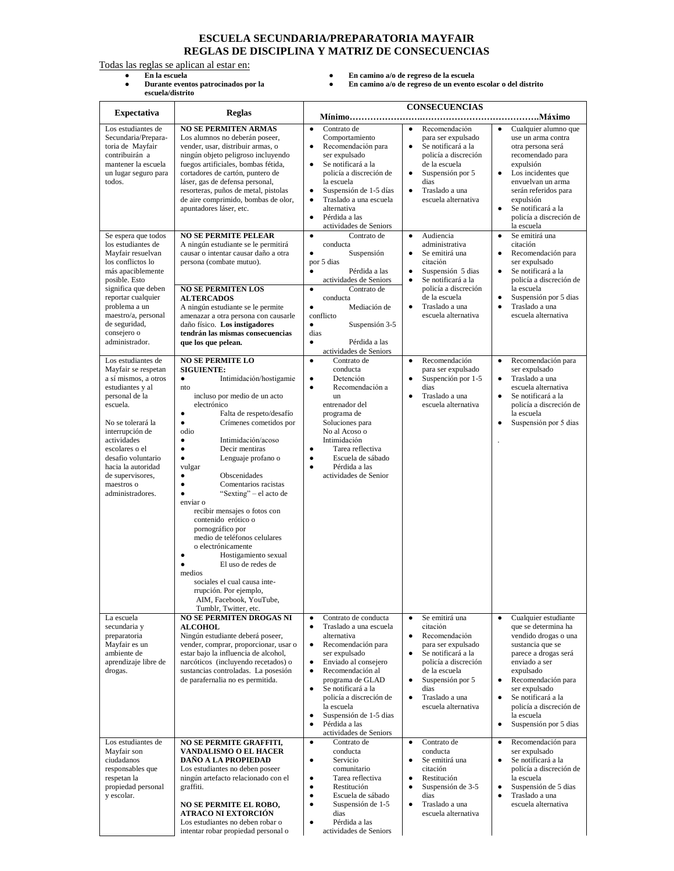## **ESCUELA SECUNDARIA/PREPARATORIA MAYFAIR REGLAS DE DISCIPLINA Y MATRIZ DE CONSECUENCIAS**

Todas las reglas se aplican al estar en:

- **Durante eventos patrocinados por la escuela/distrito**
- **En la escuela En camino a/o de regreso de la escuela**
	- **En camino a/o de regreso de un evento escolar o del distrito**

|                                                                                                                                                                                                                                                                                                |                                                                                                                                                                                                                                                                                                                                                                                                                                                                                                                                                                                                                                                                                                                                                                                                         | <b>CONSECUENCIAS</b>                                                                                                                                                                                                                                                                                                                                                                                                                                                                                                                                                                                                                                                                                                                                                                                                                                                                                                                                                                                                   |
|------------------------------------------------------------------------------------------------------------------------------------------------------------------------------------------------------------------------------------------------------------------------------------------------|---------------------------------------------------------------------------------------------------------------------------------------------------------------------------------------------------------------------------------------------------------------------------------------------------------------------------------------------------------------------------------------------------------------------------------------------------------------------------------------------------------------------------------------------------------------------------------------------------------------------------------------------------------------------------------------------------------------------------------------------------------------------------------------------------------|------------------------------------------------------------------------------------------------------------------------------------------------------------------------------------------------------------------------------------------------------------------------------------------------------------------------------------------------------------------------------------------------------------------------------------------------------------------------------------------------------------------------------------------------------------------------------------------------------------------------------------------------------------------------------------------------------------------------------------------------------------------------------------------------------------------------------------------------------------------------------------------------------------------------------------------------------------------------------------------------------------------------|
| <b>Expectativa</b>                                                                                                                                                                                                                                                                             | <b>Reglas</b>                                                                                                                                                                                                                                                                                                                                                                                                                                                                                                                                                                                                                                                                                                                                                                                           | <b>Mínimo</b>                                                                                                                                                                                                                                                                                                                                                                                                                                                                                                                                                                                                                                                                                                                                                                                                                                                                                                                                                                                                          |
| Los estudiantes de<br>Secundaria/Prepara-<br>toria de Mayfair<br>contribuirán a<br>mantener la escuela<br>un lugar seguro para<br>todos.                                                                                                                                                       | <b>NO SE PERMITEN ARMAS</b><br>Los alumnos no deberán poseer,<br>vender, usar, distribuir armas, o<br>ningún objeto peligroso incluyendo<br>fuegos artificiales, bombas fétida,<br>cortadores de cartón, puntero de<br>láser, gas de defensa personal,<br>resorteras, puños de metal, pistolas<br>de aire comprimido, bombas de olor,<br>apuntadores láser, etc.                                                                                                                                                                                                                                                                                                                                                                                                                                        | Contrato de<br>Cualquier alumno que<br>Recomendación<br>$\bullet$<br>$\bullet$<br>$\bullet$<br>Comportamiento<br>para ser expulsado<br>use un arma contra<br>Recomendación para<br>Se notificará a la<br>otra persona será<br>$\bullet$<br>$\bullet$<br>ser expulsado<br>policía a discreción<br>recomendado para<br>Se notificará a la<br>de la escuela<br>$\bullet$<br>expulsión<br>policía a discreción de<br>Los incidentes que<br>Suspensión por 5<br>$\bullet$<br>$\bullet$<br>envuelvan un arma<br>la escuela<br>dias<br>Suspensión de 1-5 días<br>Traslado a una<br>$\bullet$<br>$\bullet$<br>serán referidos para<br>Traslado a una escuela<br>escuela alternativa<br>expulsión<br>$\bullet$<br>alternativa<br>Se notificará a la<br>$\bullet$<br>Pérdida a las<br>policía a discreción de<br>$\bullet$<br>actividades de Seniors<br>la escuela                                                                                                                                                               |
| Se espera que todos<br>los estudiantes de<br>Mayfair resuelvan<br>los conflictos lo<br>más apaciblemente<br>posible. Esto<br>significa que deben<br>reportar cualquier<br>problema a un<br>maestro/a, personal<br>de seguridad,<br>consejero o<br>administrador.                               | <b>NO SE PERMITE PELEAR</b><br>A ningún estudiante se le permitirá<br>causar o intentar causar daño a otra<br>persona (combate mutuo).<br><b>NO SE PERMITEN LOS</b><br><b>ALTERCADOS</b><br>A ningún estudiante se le permite<br>amenazar a otra persona con causarle<br>daño físico. Los instigadores<br>tendrán las mismas consecuencias<br>que los que pelean.                                                                                                                                                                                                                                                                                                                                                                                                                                       | Contrato de<br>Audiencia<br>Se emitirá una<br>$\bullet$<br>$\bullet$<br>$\bullet$<br>administrativa<br>citación<br>conducta<br>Suspensión<br>Se emitirá una<br>Recomendación para<br>$\bullet$<br>$\bullet$<br>$\bullet$<br>ser expulsado<br>citación<br>por 5 dias<br>Pérdida a las<br>$\bullet$<br>Suspensión 5 dias<br>Se notificará a la<br>$\bullet$<br>$\bullet$<br>actividades de Seniors<br>Se notificará a la<br>policía a discreción de<br>$\bullet$<br>policía a discreción<br>la escuela<br>Contrato de<br>$\bullet$<br>de la escuela<br>Suspensión por 5 dias<br>conducta<br>$\bullet$<br>Traslado a una<br>Traslado a una<br>$\bullet$<br>Mediación de<br>$\bullet$<br>$\bullet$<br>escuela alternativa<br>escuela alternativa<br>conflicto<br>Suspensión 3-5<br>$\bullet$<br>dias<br>Pérdida a las<br>$\bullet$                                                                                                                                                                                         |
| Los estudiantes de<br>Mayfair se respetan<br>a sí mismos, a otros<br>estudiantes y al<br>personal de la<br>escuela.<br>No se tolerará la<br>interrupción de<br>actividades<br>escolares o el<br>desafio voluntario<br>hacia la autoridad<br>de supervisores,<br>maestros o<br>administradores. | <b>NO SE PERMITE LO</b><br><b>SIGUIENTE:</b><br>Intimidación/hostigamie<br>$\bullet$<br>nto<br>incluso por medio de un acto<br>electrónico<br>$\bullet$<br>Falta de respeto/desafío<br>Crímenes cometidos por<br>$\bullet$<br>odio<br>Intimidación/acoso<br>$\bullet$<br>Decir mentiras<br>$\bullet$<br>$\bullet$<br>Lenguaje profano o<br>vulgar<br>Obscenidades<br>$\bullet$<br>Comentarios racistas<br>$\bullet$<br>"Sexting" – el acto de<br>$\bullet$<br>enviar o<br>recibir mensajes o fotos con<br>contenido erótico o<br>pornográfico por<br>medio de teléfonos celulares<br>o electrónicamente<br>Hostigamiento sexual<br>$\bullet$<br>El uso de redes de<br>$\bullet$<br>medios<br>sociales el cual causa inte-<br>rrupción. Por ejemplo,<br>AIM, Facebook, YouTube,<br>Tumblr, Twitter, etc. | actividades de Seniors<br>Contrato de<br>Recomendación<br>Recomendación para<br>$\bullet$<br>$\bullet$<br>$\bullet$<br>conducta<br>para ser expulsado<br>ser expulsado<br>Detención<br>Suspención por 1-5<br>Traslado a una<br>$\bullet$<br>$\bullet$<br>$\bullet$<br>Recomendación a<br>dias<br>escuela alternativa<br>$\bullet$<br>Traslado a una<br>Se notificará a la<br>un<br>$\bullet$<br>$\bullet$<br>policía a discreción de<br>entrenador del<br>escuela alternativa<br>la escuela<br>programa de<br>Soluciones para<br>Suspensión por 5 dias<br>$\bullet$<br>No al Acoso o<br>Intimidación<br>Tarea reflectiva<br>$\bullet$<br>Escuela de sábado<br>$\bullet$<br>Pérdida a las<br>$\bullet$<br>actividades de Senior                                                                                                                                                                                                                                                                                         |
| La escuela<br>secundaria y<br>preparatoria<br>Mayfair es un<br>ambiente de<br>aprendizaje libre de<br>drogas.                                                                                                                                                                                  | <b>NO SE PERMITEN DROGAS NI</b><br><b>ALCOHOL</b><br>Ningún estudiante deberá poseer,<br>vender, comprar, proporcionar, usar o<br>estar bajo la influencia de alcohol,<br>narcóticos (incluyendo recetados) o<br>sustancias controladas. La posesión<br>de parafernalia no es permitida.                                                                                                                                                                                                                                                                                                                                                                                                                                                                                                                | Contrato de conducta<br>Se emitirá una<br>Cualquier estudiante<br>$\bullet$<br>$\bullet$<br>$\bullet$<br>que se determina ha<br>Traslado a una escuela<br>citación<br>$\bullet$<br>Recomendación<br>vendido drogas o una<br>alternativa<br>$\bullet$<br>sustancia que se<br>Recomendación para<br>para ser expulsado<br>$\bullet$<br>ser expulsado<br>Se notificará a la<br>parece a drogas será<br>$\bullet$<br>Enviado al consejero<br>policía a discreción<br>enviado a ser<br>٠<br>Recomendación al<br>de la escuela<br>expulsado<br>$\bullet$<br>programa de GLAD<br>Suspensión por 5<br>Recomendación para<br>$\bullet$<br>$\bullet$<br>Se notificará a la<br>dias<br>ser expulsado<br>$\bullet$<br>policía a discreción de<br>Traslado a una<br>Se notificará a la<br>$\bullet$<br>$\bullet$<br>la escuela<br>escuela alternativa<br>policía a discreción de<br>Suspensión de 1-5 dias<br>la escuela<br>$\bullet$<br>Pérdida a las<br>Suspensión por 5 dias<br>$\bullet$<br>$\bullet$<br>actividades de Seniors |
| Los estudiantes de<br>Mayfair son<br>ciudadanos<br>responsables que<br>respetan la<br>propiedad personal<br>y escolar.                                                                                                                                                                         | <b>NO SE PERMITE GRAFFITI,</b><br><b>VANDALISMO O EL HACER</b><br>DAÑO A LA PROPIEDAD<br>Los estudiantes no deben poseer<br>ningún artefacto relacionado con el<br>graffiti.<br><b>NO SE PERMITE EL ROBO,</b><br>ATRACO NI EXTORCIÓN<br>Los estudiantes no deben robar o<br>intentar robar propiedad personal o                                                                                                                                                                                                                                                                                                                                                                                                                                                                                         | Contrato de<br>Contrato de<br>Recomendación para<br>$\bullet$<br>$\bullet$<br>$\bullet$<br>conducta<br>conducta<br>ser expulsado<br>Se notificará a la<br>Servicio<br>Se emitirá una<br>$\bullet$<br>$\bullet$<br>$\bullet$<br>citación<br>policía a discreción de<br>comunitario<br>Tarea reflectiva<br>Restitución<br>la escuela<br>$\bullet$<br>$\bullet$<br>Restitución<br>Suspensión de 3-5<br>Suspensión de 5 dias<br>$\bullet$<br>$\bullet$<br>$\bullet$<br>Traslado a una<br>$\bullet$<br>Escuela de sábado<br>dias<br>$\bullet$<br>Suspensión de 1-5<br>Traslado a una<br>escuela alternativa<br>$\bullet$<br>$\bullet$<br>escuela alternativa<br>dias<br>Pérdida a las<br>$\bullet$<br>actividades de Seniors                                                                                                                                                                                                                                                                                                |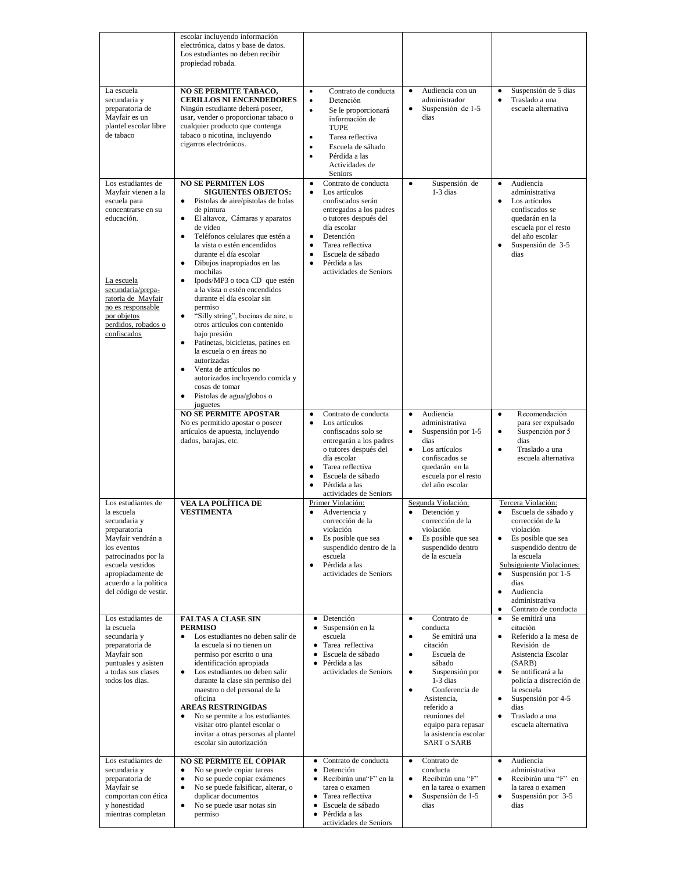|                                                                                                                                                                                                                                  | escolar incluyendo información<br>electrónica, datos y base de datos.<br>Los estudiantes no deben recibir<br>propiedad robada.                                                                                                                                                                                                                                                                                                                                                                                                                                                                                                                                                                                                                                                                                                                 |                                                                                                                                                                                                                                                                                                                                                   |                                                                                                                                                                                                                                                                                                                      |                                                                                                                                                                                                                                                                                                                           |
|----------------------------------------------------------------------------------------------------------------------------------------------------------------------------------------------------------------------------------|------------------------------------------------------------------------------------------------------------------------------------------------------------------------------------------------------------------------------------------------------------------------------------------------------------------------------------------------------------------------------------------------------------------------------------------------------------------------------------------------------------------------------------------------------------------------------------------------------------------------------------------------------------------------------------------------------------------------------------------------------------------------------------------------------------------------------------------------|---------------------------------------------------------------------------------------------------------------------------------------------------------------------------------------------------------------------------------------------------------------------------------------------------------------------------------------------------|----------------------------------------------------------------------------------------------------------------------------------------------------------------------------------------------------------------------------------------------------------------------------------------------------------------------|---------------------------------------------------------------------------------------------------------------------------------------------------------------------------------------------------------------------------------------------------------------------------------------------------------------------------|
| La escuela<br>secundaria y<br>preparatoria de<br>Mayfair es un<br>plantel escolar libre<br>de tabaco                                                                                                                             | <b>NO SE PERMITE TABACO,</b><br><b>CERILLOS NI ENCENDEDORES</b><br>Ningún estudiante deberá poseer,<br>usar, vender o proporcionar tabaco o<br>cualquier producto que contenga<br>tabaco o nicotina, incluyendo<br>cigarros electrónicos.                                                                                                                                                                                                                                                                                                                                                                                                                                                                                                                                                                                                      | Contrato de conducta<br>$\bullet$<br>Detención<br>$\bullet$<br>Se le proporcionará<br>$\bullet$<br>información de<br><b>TUPE</b><br>Tarea reflectiva<br>$\bullet$<br>$\bullet$<br>Escuela de sábado<br>Pérdida a las<br>$\bullet$<br>Actividades de<br><b>Seniors</b>                                                                             | Audiencia con un<br>$\bullet$<br>administrador<br>$\bullet$<br>Suspensión de 1-5<br>dias                                                                                                                                                                                                                             | Suspensión de 5 dias<br>٠<br>Traslado a una<br>$\bullet$<br>escuela alternativa                                                                                                                                                                                                                                           |
| Los estudiantes de<br>Mayfair vienen a la<br>escuela para<br>concentrarse en su<br>educación.<br>La escuela<br>secundaria/prepa-<br>ratoria de Mayfair<br>no es responsable<br>por objetos<br>perdidos, robados o<br>confiscados | <b>NO SE PERMITEN LOS</b><br><b>SIGUIENTES OBJETOS:</b><br>Pistolas de aire/pistolas de bolas<br>$\bullet$<br>de pintura<br>El altavoz, Cámaras y aparatos<br>$\bullet$<br>de video<br>Teléfonos celulares que estén a<br>٠<br>la vista o estén encendidos<br>durante el día escolar<br>Dibujos inapropiados en las<br>$\bullet$<br>mochilas<br>Ipods/MP3 o toca CD que estén<br>٠<br>a la vista o estén encendidos<br>durante el día escolar sin<br>permiso<br>"Silly string", bocinas de aire, u<br>$\bullet$<br>otros artículos con contenido<br>bajo presión<br>Patinetas, bicicletas, patines en<br>$\bullet$<br>la escuela o en áreas no<br>autorizadas<br>Venta de artículos no<br>$\bullet$<br>autorizados incluyendo comida y<br>cosas de tomar<br>Pistolas de agua/globos o<br>$\bullet$<br>juguetes<br><b>NO SE PERMITE APOSTAR</b> | Contrato de conducta<br>$\bullet$<br>Los artículos<br>$\bullet$<br>confiscados serán<br>entregados a los padres<br>o tutores después del<br>día escolar<br>Detención<br>$\bullet$<br>Tarea reflectiva<br>$\bullet$<br>Escuela de sábado<br>$\bullet$<br>$\bullet$<br>Pérdida a las<br>actividades de Seniors<br>Contrato de conducta<br>$\bullet$ | Suspensión de<br>$\bullet$<br>$1-3$ dias<br>Audiencia<br>$\bullet$                                                                                                                                                                                                                                                   | Audiencia<br>$\bullet$<br>administrativa<br>Los artículos<br>$\bullet$<br>confiscados se<br>quedarán en la<br>escuela por el resto<br>del año escolar<br>Suspensión de 3-5<br>$\bullet$<br>dias<br>Recomendación<br>$\bullet$                                                                                             |
|                                                                                                                                                                                                                                  | No es permitido apostar o poseer<br>artículos de apuesta, incluyendo<br>dados, barajas, etc.                                                                                                                                                                                                                                                                                                                                                                                                                                                                                                                                                                                                                                                                                                                                                   | Los artículos<br>$\bullet$<br>confiscados solo se<br>entregarán a los padres<br>o tutores después del<br>día escolar<br>Tarea reflectiva<br>$\bullet$<br>Escuela de sábado<br>$\bullet$<br>Pérdida a las<br>$\bullet$<br>actividades de Seniors                                                                                                   | administrativa<br>Suspensión por 1-5<br>$\bullet$<br>dias<br>Los artículos<br>$\bullet$<br>confiscados se<br>quedarán en la<br>escuela por el resto<br>del año escolar                                                                                                                                               | para ser expulsado<br>$\bullet$<br>Suspención por 5<br>dias<br>Traslado a una<br>$\bullet$<br>escuela alternativa                                                                                                                                                                                                         |
| Los estudiantes de<br>la escuela<br>secundaria y<br>preparatoria<br>Mayfair vendrán a<br>los eventos<br>patrocinados por la<br>escuela vestidos<br>apropiadamente de<br>acuerdo a la política<br>del código de vestir.           | VEA LA POLÍTICA DE<br><b>VESTIMENTA</b>                                                                                                                                                                                                                                                                                                                                                                                                                                                                                                                                                                                                                                                                                                                                                                                                        | Primer Violación:<br>Advertencia y<br>$\bullet$<br>corrección de la<br>violación<br>Es posible que sea<br>$\bullet$<br>suspendido dentro de la<br>escuela<br>Pérdida a las<br>$\bullet$<br>actividades de Seniors                                                                                                                                 | Segunda Violación:<br>Detención y<br>$\bullet$<br>corrección de la<br>violación<br>Es posible que sea<br>$\bullet$<br>suspendido dentro<br>de la escuela                                                                                                                                                             | Tercera Violación:<br>Escuela de sábado y<br>$\bullet$<br>corrección de la<br>violación<br>Es posible que sea<br>$\bullet$<br>suspendido dentro de<br>la escuela<br>Subsiguiente Violaciones:<br>Suspensión por 1-5<br>$\bullet$<br>dias<br>Audiencia<br>$\bullet$<br>administrativa<br>Contrato de conducta<br>$\bullet$ |
| Los estudiantes de<br>la escuela<br>secundaria y<br>preparatoria de<br>Mayfair son<br>puntuales y asisten<br>a todas sus clases<br>todos los dias.                                                                               | <b>FALTAS A CLASE SIN</b><br><b>PERMISO</b><br>Los estudiantes no deben salir de<br>$\bullet$<br>la escuela si no tienen un<br>permiso por escrito o una<br>identificación apropiada<br>Los estudiantes no deben salir<br>$\bullet$<br>durante la clase sin permiso del<br>maestro o del personal de la<br>oficina<br><b>AREAS RESTRINGIDAS</b><br>No se permite a los estudiantes<br>visitar otro plantel escolar o<br>invitar a otras personas al plantel<br>escolar sin autorización                                                                                                                                                                                                                                                                                                                                                        | • Detención<br>• Suspensión en la<br>escuela<br>Tarea reflectiva<br>$\bullet$<br>Escuela de sábado<br>$\bullet$<br>· Pérdida a las<br>actividades de Seniors                                                                                                                                                                                      | Contrato de<br>$\bullet$<br>conducta<br>Se emitirá una<br>$\bullet$<br>citación<br>Escuela de<br>$\bullet$<br>sábado<br>Suspensión por<br>$\bullet$<br>$1-3$ dias<br>Conferencia de<br>$\bullet$<br>Asistencia,<br>referido a<br>reuniones del<br>equipo para repasar<br>la asistencia escolar<br><b>SART o SARB</b> | Se emitirá una<br>$\bullet$<br>citación<br>Referido a la mesa de<br>$\bullet$<br>Revisión de<br>Asistencia Escolar<br>(SARB)<br>Se notificará a la<br>$\bullet$<br>policía a discreción de<br>la escuela<br>Suspensión por 4-5<br>$\bullet$<br>dias<br>Traslado a una<br>$\bullet$<br>escuela alternativa                 |
| Los estudiantes de<br>secundaria y<br>preparatoria de<br>Mayfair se<br>comportan con ética<br>y honestidad<br>mientras completan                                                                                                 | <b>NO SE PERMITE EL COPIAR</b><br>No se puede copiar tareas<br>$\bullet$<br>No se puede copiar exámenes<br>$\bullet$<br>No se puede falsificar, alterar, o<br>$\bullet$<br>duplicar documentos<br>No se puede usar notas sin<br>$\bullet$<br>permiso                                                                                                                                                                                                                                                                                                                                                                                                                                                                                                                                                                                           | Contrato de conducta<br>$\bullet$<br>Detención<br>$\bullet$<br>· Recibirán una "F" en la<br>tarea o examen<br>• Tarea reflectiva<br>· Escuela de sábado<br>Pérdida a las<br>$\bullet$<br>actividades de Seniors                                                                                                                                   | Contrato de<br>$\bullet$<br>conducta<br>$\bullet$<br>Recibirán una "F"<br>en la tarea o examen<br>Suspensión de 1-5<br>$\bullet$<br>dias                                                                                                                                                                             | Audiencia<br>$\bullet$<br>administrativa<br>Recibirán una "F" en<br>$\bullet$<br>la tarea o examen<br>Suspensión por 3-5<br>$\bullet$<br>dias                                                                                                                                                                             |